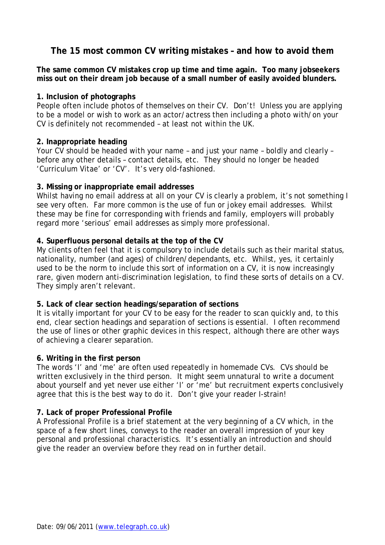# **The 15 most common CV writing mistakes – and how to avoid them**

**The same common CV mistakes crop up time and time again. Too many jobseekers miss out on their dream job because of a small number of easily avoided blunders.** 

#### **1. Inclusion of photographs**

People often include photos of themselves on their CV. Don't! Unless you are applying to be a model or wish to work as an actor/actress then including a photo with/on your CV is definitely not recommended – at least not within the UK.

## **2. Inappropriate heading**

Your CV should be headed with your name – and just your name – boldly and clearly – before any other details – contact details, etc. They should no longer be headed 'Curriculum Vitae' or 'CV'. It's very old-fashioned.

## **3. Missing or inappropriate email addresses**

Whilst having no email address at all on your CV is clearly a problem, it's not something I see very often. Far more common is the use of fun or jokey email addresses. Whilst these may be fine for corresponding with friends and family, employers will probably regard more 'serious' email addresses as simply more professional.

## **4. Superfluous personal details at the top of the CV**

My clients often feel that it is compulsory to include details such as their marital status, nationality, number (and ages) of children/dependants, etc. Whilst, yes, it certainly used to be the norm to include this sort of information on a CV, it is now increasingly rare, given modern anti-discrimination legislation, to find these sorts of details on a CV. They simply aren't relevant.

## **5. Lack of clear section headings/separation of sections**

It is vitally important for your CV to be easy for the reader to scan quickly and, to this end, clear section headings and separation of sections is essential. I often recommend the use of lines or other graphic devices in this respect, although there are other ways of achieving a clearer separation.

## **6. Writing in the first person**

The words 'I' and 'me' are often used repeatedly in homemade CVs. CVs should be written exclusively in the third person. It might seem unnatural to write a document about yourself and yet never use either 'I' or 'me' but recruitment experts conclusively agree that this is the best way to do it. Don't give your reader I-strain!

## **7. Lack of proper Professional Profile**

A Professional Profile is a brief statement at the very beginning of a CV which, in the space of a few short lines, conveys to the reader an overall impression of your key personal and professional characteristics. It's essentially an introduction and should give the reader an overview before they read on in further detail.